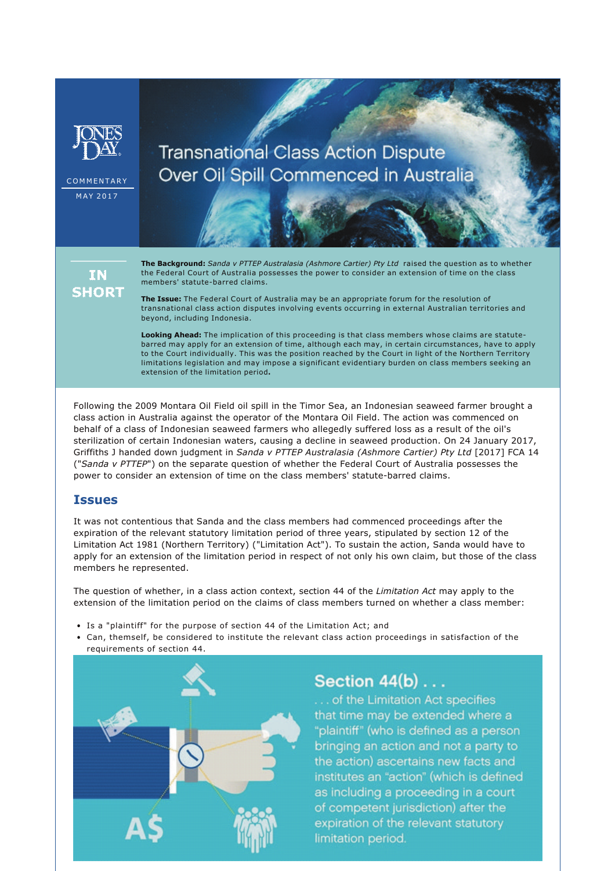

**COMMENTARY**  $MAY$  2017

# **Transnational Class Action Dispute** Over Oil Spill Commenced in Australia

**IN SHORT** 

**The Background:** *Sanda v PTTEP Australasia (Ashmore Cartier) Pty Ltd* raised the question as to whether the Federal Court of Australia possesses the power to consider an extension of time on the class members' statute-barred claims.

**The Issue:** The Federal Court of Australia may be an appropriate forum for the resolution of transnational class action disputes involving events occurring in external Australian territories and beyond, including Indonesia.

**Looking Ahead:** The implication of this proceeding is that class members whose claims are statutebarred may apply for an extension of time, although each may, in certain circumstances, have to apply to the Court individually. This was the position reached by the Court in light of the Northern Territory limitations legislation and may impose a significant evidentiary burden on class members seeking an extension of the limitation period**.**

Following the 2009 Montara Oil Field oil spill in the Timor Sea, an Indonesian seaweed farmer brought a class action in Australia against the operator of the Montara Oil Field. The action was commenced on behalf of a class of Indonesian seaweed farmers who allegedly suffered loss as a result of the oil's sterilization of certain Indonesian waters, causing a decline in seaweed production. On 24 January 2017, Griffiths J handed down judgment in *Sanda v PTTEP Australasia (Ashmore Cartier) Pty Ltd* [2017] FCA 14 ("*Sanda v PTTEP*") on the separate question of whether the Federal Court of Australia possesses the power to consider an extension of time on the class members' statute-barred claims.

### **Issues**

It was not contentious that Sanda and the class members had commenced proceedings after the expiration of the relevant statutory limitation period of three years, stipulated by section 12 of the Limitation Act 1981 (Northern Territory) ("Limitation Act"). To sustain the action, Sanda would have to apply for an extension of the limitation period in respect of not only his own claim, but those of the class members he represented.

The question of whether, in a class action context, section 44 of the *Limitation Act* may apply to the extension of the limitation period on the claims of class members turned on whether a class member:

- Is a "plaintiff" for the purpose of section 44 of the Limitation Act; and
- Can, themself, be considered to institute the relevant class action proceedings in satisfaction of the requirements of section 44.



## **Section 44(b)...**

... of the Limitation Act specifies that time may be extended where a "plaintiff" (who is defined as a person bringing an action and not a party to the action) ascertains new facts and institutes an "action" (which is defined as including a proceeding in a court of competent jurisdiction) after the expiration of the relevant statutory limitation period.